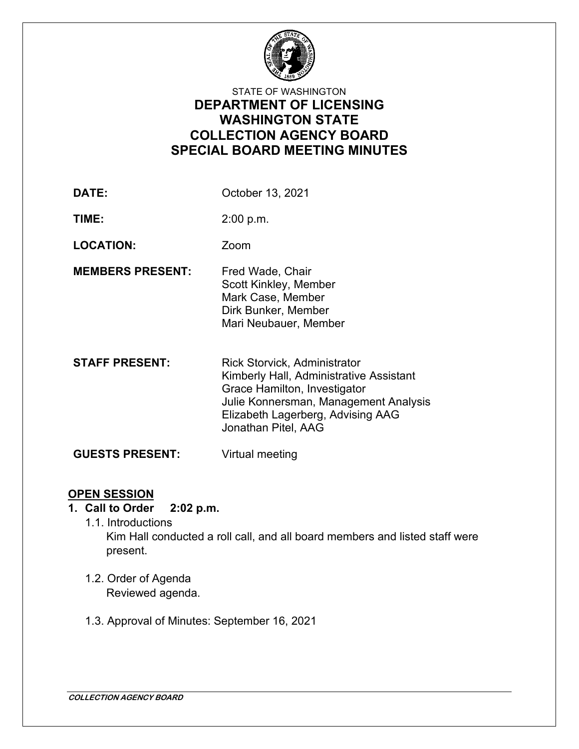

## STATE OF WASHINGTON **DEPARTMENT OF LICENSING WASHINGTON STATE COLLECTION AGENCY BOARD SPECIAL BOARD MEETING MINUTES**

**DATE:** October 13, 2021

**TIME:** 2:00 p.m.

**LOCATION:** Zoom

- **MEMBERS PRESENT:** Fred Wade, Chair Scott Kinkley, Member Mark Case, Member Dirk Bunker, Member Mari Neubauer, Member
- **STAFF PRESENT:** Rick Storvick, Administrator Kimberly Hall, Administrative Assistant Grace Hamilton, Investigator Julie Konnersman, Management Analysis Elizabeth Lagerberg, Advising AAG Jonathan Pitel, AAG

**GUESTS PRESENT:** Virtual meeting

## **OPEN SESSION**

- **1. Call to Order 2:02 p.m.**
	- 1.1. Introductions Kim Hall conducted a roll call, and all board members and listed staff were present.
	- 1.2. Order of Agenda Reviewed agenda.
	- 1.3. Approval of Minutes: September 16, 2021

**COLLECTION AGENCY BOARD**